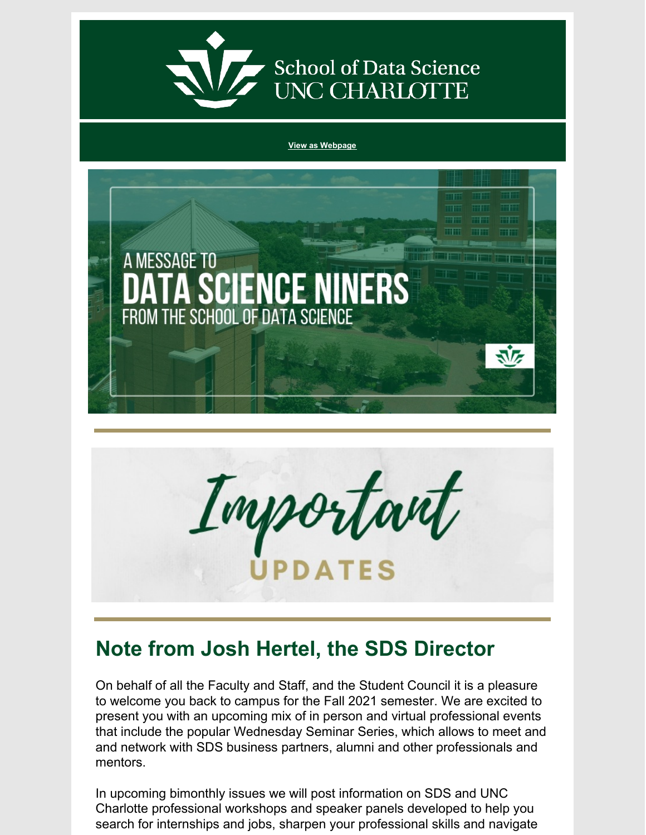

# School of Data Science<br>UNC CHARLOTTE

#### **View as [Webpage](https://campaignlp.constantcontact.com/em/1130527463971/4c444fb3-a775-4278-a434-4b4836892105)**





## **Note from Josh Hertel, the SDS Director**

On behalf of all the Faculty and Staff, and the Student Council it is a pleasure to welcome you back to campus for the Fall 2021 semester. We are excited to present you with an upcoming mix of in person and virtual professional events that include the popular Wednesday Seminar Series, which allows to meet and and network with SDS business partners, alumni and other professionals and mentors.

In upcoming bimonthly issues we will post information on SDS and UNC Charlotte professional workshops and speaker panels developed to help you search for internships and jobs, sharpen your professional skills and navigate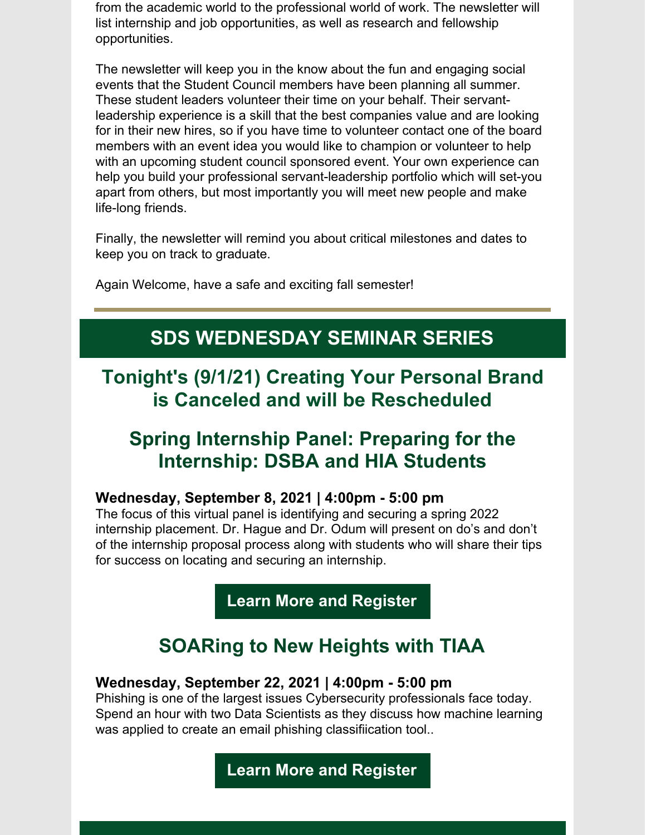from the academic world to the professional world of work. The newsletter will list internship and job opportunities, as well as research and fellowship opportunities.

The newsletter will keep you in the know about the fun and engaging social events that the Student Council members have been planning all summer. These student leaders volunteer their time on your behalf. Their servantleadership experience is a skill that the best companies value and are looking for in their new hires, so if you have time to volunteer contact one of the board members with an event idea you would like to champion or volunteer to help with an upcoming student council sponsored event. Your own experience can help you build your professional servant-leadership portfolio which will set-you apart from others, but most importantly you will meet new people and make life-long friends.

Finally, the newsletter will remind you about critical milestones and dates to keep you on track to graduate.

Again Welcome, have a safe and exciting fall semester!

## **SDS WEDNESDAY SEMINAR SERIES**

**Tonight's (9/1/21) Creating Your Personal Brand is Canceled and will be Rescheduled**

## **Spring Internship Panel: Preparing for the Internship: DSBA and HIA Students**

#### **Wednesday, September 8, 2021 | 4:00pm - 5:00 pm**

The focus of this virtual panel is identifying and securing a spring 2022 internship placement. Dr. Hague and Dr. Odum will present on do's and don't of the internship proposal process along with students who will share their tips for success on locating and securing an internship.

#### **Learn More and [Register](https://datascience.charlotte.edu/events/sds-wednesday-seminar-spring-internship-panel)**

## **SOARing to New Heights with TIAA**

#### **Wednesday, September 22, 2021 | 4:00pm - 5:00 pm**

Phishing is one of the largest issues Cybersecurity professionals face today. Spend an hour with two Data Scientists as they discuss how machine learning was applied to create an email phishing classifiication tool..

#### **Learn More and [Register](https://datascience.charlotte.edu/events/sds-wednesday-seminar-soaring-new-heights-tiaa)**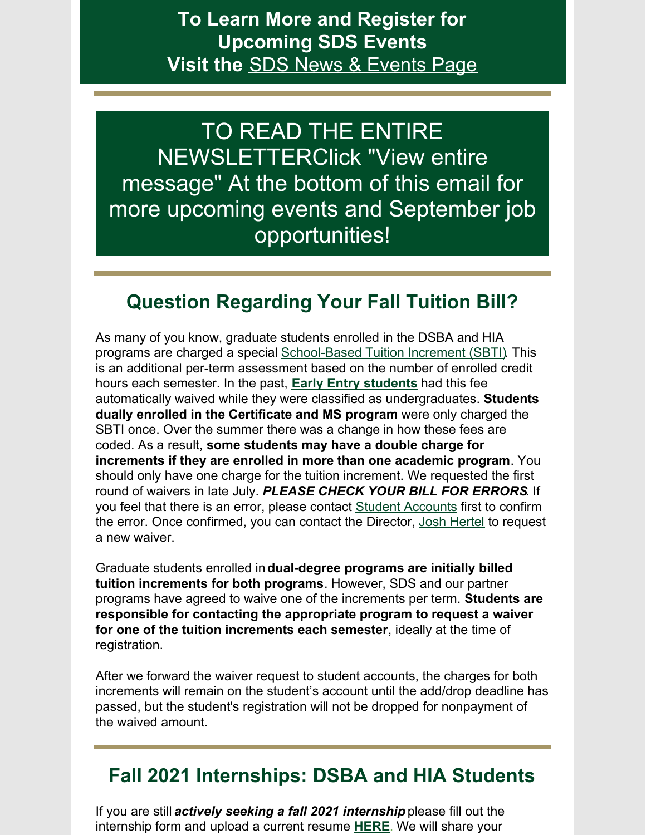#### **To Learn More and Register for Upcoming SDS Events Visit the** SDS News & [Events](https://datascience.charlotte.edu/recent-news) Page

TO READ THE ENTIRE NEWSLETTERClick "View entire message" At the bottom of this email for more upcoming events and September job opportunities!

## **Question Regarding Your Fall Tuition Bill?**

As many of you know, graduate students enrolled in the DSBA and HIA programs are charged a special [School-Based](https://dsba.uncc.edu/current-students/tuition-increment) Tuition Increment (SBTI). This is an additional per-term assessment based on the number of enrolled credit hours each semester. In the past, **Early Entry [students](https://gradadmissions.uncc.edu/admissions/early-entry)** had this fee automatically waived while they were classified as undergraduates. **Students dually enrolled in the Certificate and MS program** were only charged the SBTI once. Over the summer there was a change in how these fees are coded. As a result, **some students may have a double charge for increments if they are enrolled in more than one academic program**. You should only have one charge for the tuition increment. We requested the first round of waivers in late July. *PLEASE CHECK YOUR BILL FOR ERRORS.* If you feel that there is an error, please contact Student [Accounts](https://ninercentral.uncc.edu/billing-payments-refunds/billing-information) first to confirm the error. Once confirmed, you can contact the Director, Josh [Hertel](mailto:jhertel@uncc.edu) to request a new waiver.

Graduate students enrolled in**dual-degree programs are initially billed tuition increments for both programs**. However, SDS and our partner programs have agreed to waive one of the increments per term. **Students are responsible for contacting the appropriate program to request a waiver for one of the tuition increments each semester**, ideally at the time of registration.

After we forward the waiver request to student accounts, the charges for both increments will remain on the student's account until the add/drop deadline has passed, but the student's registration will not be dropped for nonpayment of the waived amount.

#### **Fall 2021 Internships: DSBA and HIA Students**

If you are still *actively seeking a fall 2021 internship* please fill out the internship form and upload a current resume **[HERE](https://docs.google.com/forms/d/e/1FAIpQLSeaoCKtWQO4vtMJl0jDyXYFaaDwHPd3DoPribamEBrjB1POww/viewform?usp=sf_link)**. We will share your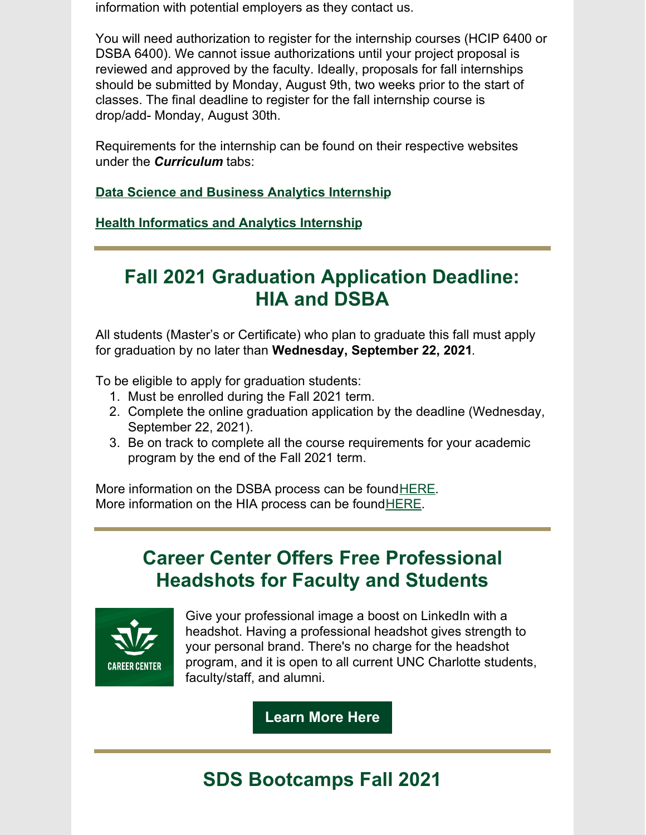information with potential employers as they contact us.

You will need authorization to register for the internship courses (HCIP 6400 or DSBA 6400). We cannot issue authorizations until your project proposal is reviewed and approved by the faculty. Ideally, proposals for fall internships should be submitted by Monday, August 9th, two weeks prior to the start of classes. The final deadline to register for the fall internship course is drop/add- Monday, August 30th.

Requirements for the internship can be found on their respective websites under the *Curriculum* tabs:

**Data Science and Business Analytics [Internship](https://dsba.uncc.edu/curriculum/internship)**

**Health [Informatics](https://hia.uncc.edu/curriculum/internship-course-information) and Analytics Internship**

## **Fall 2021 Graduation Application Deadline: HIA and DSBA**

All students (Master's or Certificate) who plan to graduate this fall must apply for graduation by no later than **Wednesday, September 22, 2021**.

To be eligible to apply for graduation students:

- 1. Must be enrolled during the Fall 2021 term.
- 2. Complete the online graduation application by the deadline (Wednesday, September 22, 2021).
- 3. Be on track to complete all the course requirements for your academic program by the end of the Fall 2021 term.

More information on the DSBA process can be foun[dHERE](https://dsba.uncc.edu/current-students/graduation). More information on the HIA process can be foun[dHERE](https://hia.uncc.edu/current-students/graduation).

## **Career Center Offers Free Professional Headshots for Faculty and Students**



Give your professional image a boost on LinkedIn with a headshot. Having a professional headshot gives strength to your personal brand. There's no charge for the headshot program, and it is open to all current UNC Charlotte students, faculty/staff, and alumni.

**[Learn](https://career.uncc.edu/professional-headshots) More Here**

# **SDS Bootcamps Fall 2021**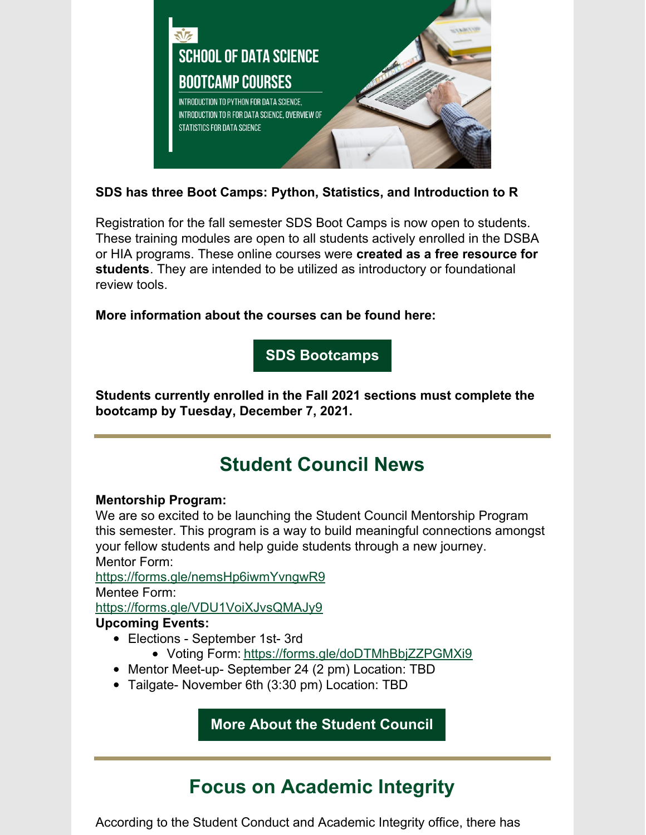

#### **SDS has three Boot Camps: Python, Statistics, and Introduction to R**

Registration for the fall semester SDS Boot Camps is now open to students. These training modules are open to all students actively enrolled in the DSBA or HIA programs. These online courses were **created as a free resource for students**. They are intended to be utilized as introductory or foundational review tools.

**More information about the courses can be found here:**

**SDS [Bootcamps](https://dsba.uncc.edu/current-students/sds-bootcamp-courses)**

**Students currently enrolled in the Fall 2021 sections must complete the bootcamp by Tuesday, December 7, 2021.**

## **Student Council News**

#### **Mentorship Program:**

We are so excited to be launching the Student Council Mentorship Program this semester. This program is a way to build meaningful connections amongst your fellow students and help guide students through a new journey. Mentor Form:

<https://forms.gle/nemsHp6iwmYvngwR9> Mentee Form: <https://forms.gle/VDU1VoiXJvsQMAJy9>

#### **Upcoming Events:**

- Elections September 1st- 3rd
	- Voting Form: <https://forms.gle/doDTMhBbjZZPGMXi9>
- Mentor Meet-up- September 24 (2 pm) Location: TBD
- Tailgate- November 6th (3:30 pm) Location: TBD

**More About the [Student](https://datascience.charlotte.edu/about-us/student-council) Council**

## **Focus on Academic Integrity**

According to the Student Conduct and Academic Integrity office, there has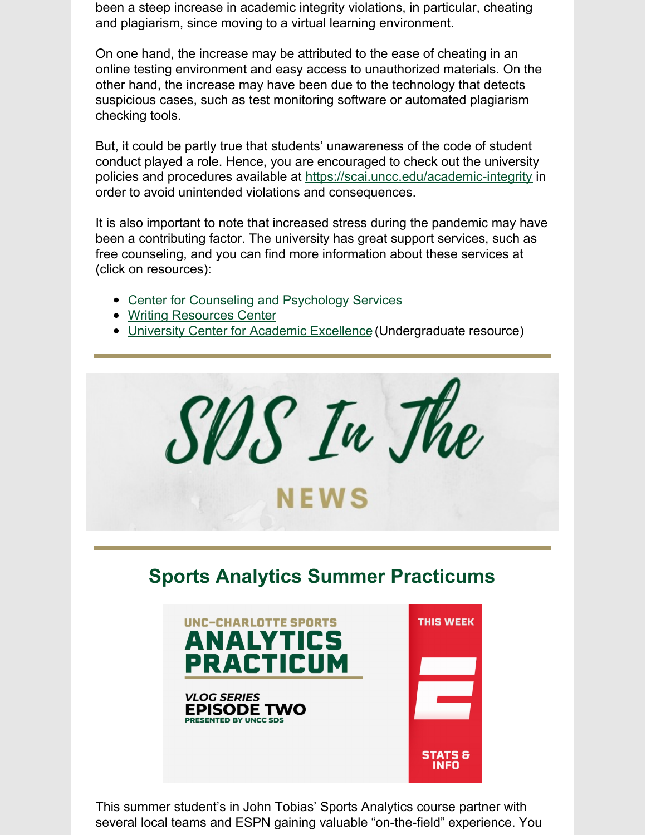been a steep increase in academic integrity violations, in particular, cheating and plagiarism, since moving to a virtual learning environment.

On one hand, the increase may be attributed to the ease of cheating in an online testing environment and easy access to unauthorized materials. On the other hand, the increase may have been due to the technology that detects suspicious cases, such as test monitoring software or automated plagiarism checking tools.

But, it could be partly true that students' unawareness of the code of student conduct played a role. Hence, you are encouraged to check out the university policies and procedures available at <https://scai.uncc.edu/academic-integrity> in order to avoid unintended violations and consequences.

It is also important to note that increased stress during the pandemic may have been a contributing factor. The university has great support services, such as free counseling, and you can find more information about these services at (click on resources):

- Center for Counseling and [Psychology](https://caps.uncc.edu/) Services
- Writing [Resources](https://writing.uncc.edu/writing-resources-center) Center
- University Center for Academic [Excellence](https://ucae.uncc.edu/academic-support-services) (Undergraduate resource)





This summer student's in John Tobias' Sports Analytics course partner with several local teams and ESPN gaining valuable "on-the-field" experience. You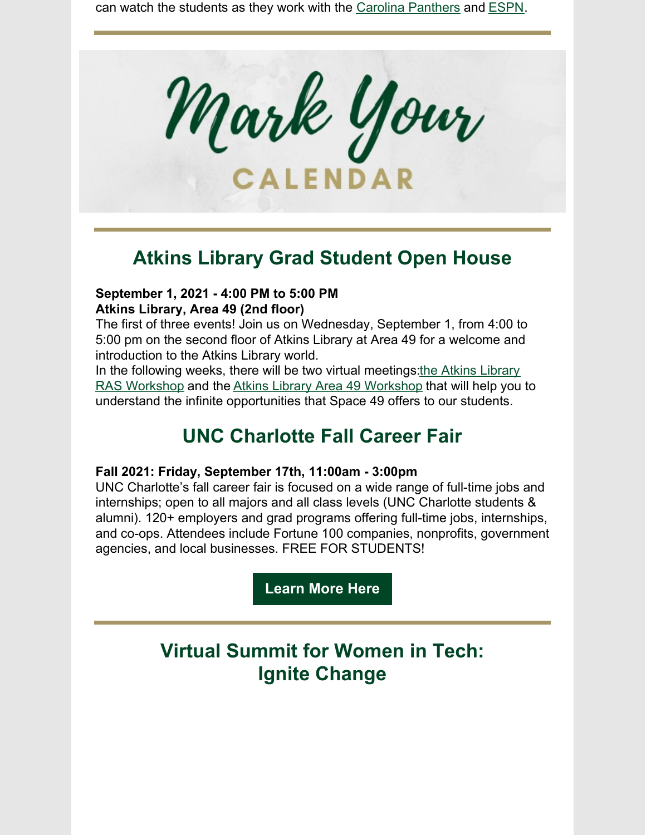can watch the students as they work with the Carolina [Panthers](https://www.youtube.com/watch?v=GyZfJJe869o&t=2s) and [ESPN](https://www.youtube.com/watch?v=_9JMDyGB_o0).



#### **Atkins Library Grad Student Open House**

#### **September 1, 2021 - 4:00 PM to 5:00 PM Atkins Library, Area 49 (2nd floor)**

The first of three events! Join us on Wednesday, September 1, from 4:00 to 5:00 pm on the second floor of Atkins Library at Area 49 for a welcome and introduction to the Atkins Library world.

In the following weeks, there will be two virtual meetings: the Atkins Library RAS Workshop and the Atkins Library Area 49 [Workshop](https://r20.rs6.net/tn.jsp?f=001tZ2d4bKyoPZO5yTbaQIqKHBwp6JdL_Wapa2h2Tv82XQU7j1AdBn8R0aP7vZj1-w6sk9bXPEO5Dps8GcjUoz5o8Lwb5mB7NTLFB4bv5XsGuvBg3EGxRYgW1vX4UDJHIEi3xKmpP_dL-7egX04SQKzl_taLpdkgIhabhukgoYzSOFin7M-YR0YRIZKytOeN7x_79RWHloRg9zzfe_loKpDMENrqZic3RFVRELPlaHlaR4=&c=LBYu4lwLPID5Br1hD8foxBiFx4frqYZdEc6BepasUi2Qa3YsCkMMsw==&ch=P7WIfL7V4XrNinkGo15r52uFFgDnqges4NucM8_7KazwX1I0lnTYDQ==) that will help you to understand the infinite opportunities that Space 49 offers to our students.

#### **UNC Charlotte Fall Career Fair**

#### **Fall 2021: Friday, September 17th, 11:00am - 3:00pm**

UNC Charlotte's fall career fair is focused on a wide range of full-time jobs and internships; open to all majors and all class levels (UNC Charlotte students & alumni). 120+ employers and grad programs offering full-time jobs, internships, and co-ops. Attendees include Fortune 100 companies, nonprofits, government agencies, and local businesses. FREE FOR STUDENTS!

**[Learn](https://careerfairs.charlotte.edu/details_student.php?fair=95) More Here**

#### **Virtual Summit for Women in Tech: Ignite Change**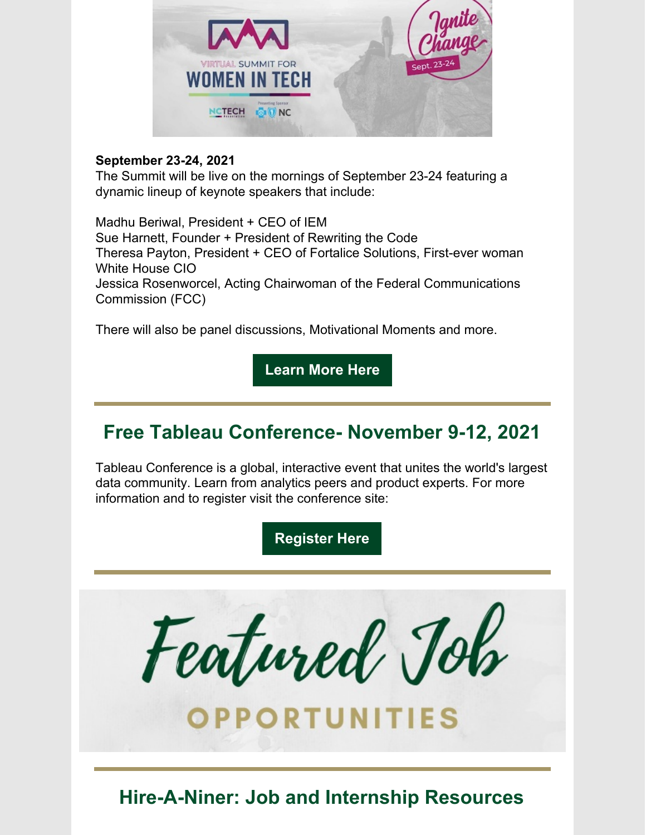

#### **September 23-24, 2021**

The Summit will be live on the mornings of September 23-24 featuring a dynamic lineup of keynote speakers that include:

Madhu Beriwal, President + CEO of IEM Sue Harnett, Founder + President of Rewriting the Code Theresa Payton, President + CEO of Fortalice Solutions, First-ever woman White House CIO Jessica Rosenworcel, Acting Chairwoman of the Federal Communications Commission (FCC)

There will also be panel discussions, Motivational Moments and more.

**[Learn](https://r20.rs6.net/tn.jsp?f=001JZXHsi4YjIanODldm5vfWt7H1SjjaxnNEOosbDwK5G_BRYDdCGn7e1O9Bonu1Ooi7CJNARneefojlv7W3_tu-z4Wrha5NaFaR2bwDhGbMla5wtNVl6N-0m6ZwVA7AMxGzYqDuqHg9y7EaaKMkdLcltf9NrXB7Po87zZ3HWzaziL67aZMhASJeOY3fD83GuYPZhlkeVWGyL63sa5HuEcA3w==&c=w0B0qApVkDo81F8bdqmqbz2AYoYFxukX21z8-aHZLXr_GyIxyAs_4A==&ch=-NDcEF0hdTADw1Rwm5219Pdn57DYbTL5aTr9ZLPIR8jPnVv27tb1Rg==) More Here**

## **Free Tableau Conference- November 9-12, 2021**

Tableau Conference is a global, interactive event that unites the world's largest data community. Learn from analytics peers and product experts. For more information and to register visit the conference site:

**[Register](http://app.data.tableau.com/e/es.aspx?s=840&e=29553904&elqTrackId=b18eaf1d2b5849c98b3042cdc71d57f0&elq=d5124474c7d240ffa2fb300896241147&elqaid=51124&elqat=1) Here**



**Hire-A-Niner: Job and Internship Resources**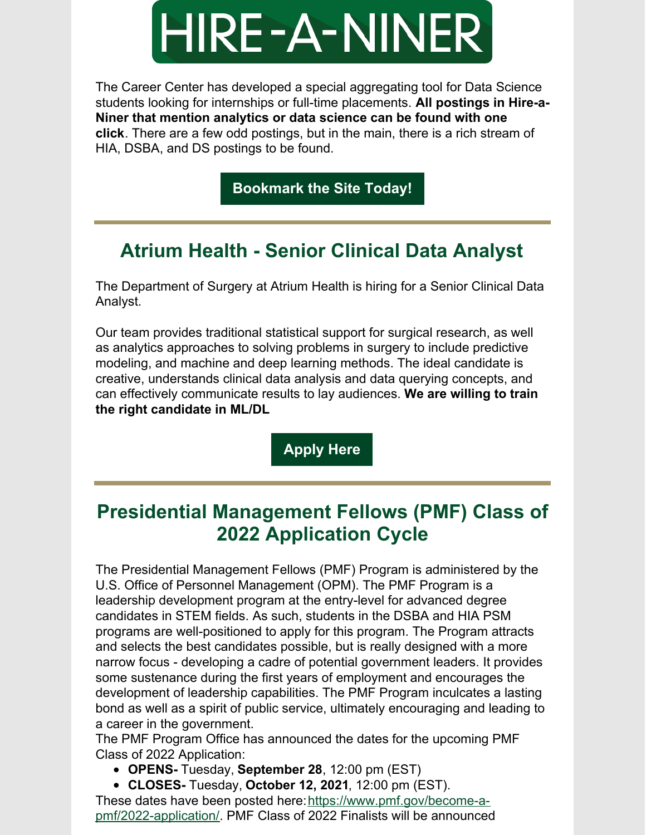

The Career Center has developed a special aggregating tool for Data Science students looking for internships or full-time placements. **All postings in Hire-a-Niner that mention analytics or data science can be found with one click**. There are a few odd postings, but in the main, there is a rich stream of HIA, DSBA, and DS postings to be found.

**[Bookmark](https://hireaniner.uncc.edu/jobs/type:SoDS) the Site Today!**

## **Atrium Health - Senior Clinical Data Analyst**

The Department of Surgery at Atrium Health is hiring for a Senior Clinical Data Analyst.

Our team provides traditional statistical support for surgical research, as well as analytics approaches to solving problems in surgery to include predictive modeling, and machine and deep learning methods. The ideal candidate is creative, understands clinical data analysis and data querying concepts, and can effectively communicate results to lay audiences. **We are willing to train the right candidate in ML/DL**

**[Apply](https://emis.fa.us2.oraclecloud.com/hcmUI/CandidateExperience/en/sites/CX/job/12324/?utm_medium=jobshare) Here**

## **Presidential Management Fellows (PMF) Class of 2022 Application Cycle**

The Presidential Management Fellows (PMF) Program is administered by the U.S. Office of Personnel Management (OPM). The PMF Program is a leadership development program at the entry-level for advanced degree candidates in STEM fields. As such, students in the DSBA and HIA PSM programs are well-positioned to apply for this program. The Program attracts and selects the best candidates possible, but is really designed with a more narrow focus - developing a cadre of potential government leaders. It provides some sustenance during the first years of employment and encourages the development of leadership capabilities. The PMF Program inculcates a lasting bond as well as a spirit of public service, ultimately encouraging and leading to a career in the government.

The PMF Program Office has announced the dates for the upcoming PMF Class of 2022 Application:

- **OPENS-** Tuesday, **September 28**, 12:00 pm (EST)
- **CLOSES-** Tuesday, **October 12, 2021**, 12:00 pm (EST).

These dates have been posted [here:https://www.pmf.gov/become-a](https://www.pmf.gov/become-a-pmf/2022-application/)pmf/2022-application/. PMF Class of 2022 Finalists will be announced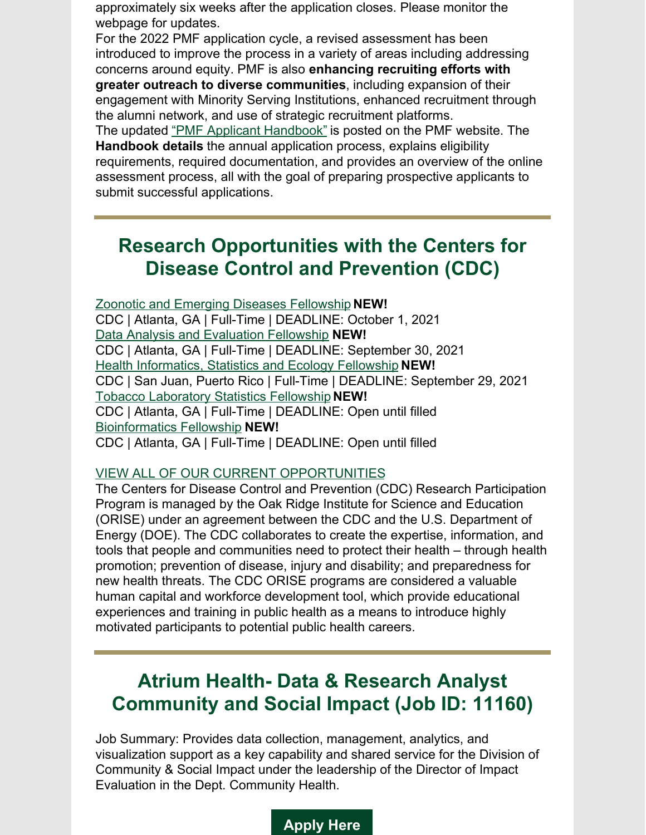approximately six weeks after the application closes. Please monitor the webpage for updates.

For the 2022 PMF application cycle, a revised assessment has been introduced to improve the process in a variety of areas including addressing concerns around equity. PMF is also **enhancing recruiting efforts with greater outreach to diverse communities**, including expansion of their engagement with Minority Serving Institutions, enhanced recruitment through the alumni network, and use of strategic recruitment platforms.

The updated "PMF Applicant [Handbook"](https://www.pmf.gov/become-a-pmf/resources/) is posted on the PMF website. The **Handbook details** the annual application process, explains eligibility requirements, required documentation, and provides an overview of the online assessment process, all with the goal of preparing prospective applicants to submit successful applications.

#### **Research Opportunities with the Centers for Disease Control and Prevention (CDC)**

Zoonotic and Emerging Diseases [Fellowship](https://orau.us4.list-manage.com/track/click?u=2582f9d90728dfa103df1fbd0&id=45876566be&e=3a816fc607) **NEW!** CDC | Atlanta, GA | Full-Time | DEADLINE: October 1, 2021 Data Analysis and [Evaluation](https://orau.us4.list-manage.com/track/click?u=2582f9d90728dfa103df1fbd0&id=c2c2430d35&e=3a816fc607) Fellowship **NEW!** CDC | Atlanta, GA | Full-Time | DEADLINE: September 30, 2021 Health [Informatics,](https://orau.us4.list-manage.com/track/click?u=2582f9d90728dfa103df1fbd0&id=f4b03cfec4&e=3a816fc607) Statistics and Ecology Fellowship **NEW!** CDC | San Juan, Puerto Rico | Full-Time | DEADLINE: September 29, 2021 Tobacco [Laboratory](https://orau.us4.list-manage.com/track/click?u=2582f9d90728dfa103df1fbd0&id=5b8c2e0f8e&e=3a816fc607) Statistics Fellowship **NEW!** CDC | Atlanta, GA | Full-Time | DEADLINE: Open until filled [Bioinformatics](https://orau.us4.list-manage.com/track/click?u=2582f9d90728dfa103df1fbd0&id=c0030772d1&e=3a816fc607) Fellowship **NEW!** CDC | Atlanta, GA | Full-Time | DEADLINE: Open until filled

#### VIEW ALL OF OUR CURRENT [OPPORTUNITIES](https://orau.us4.list-manage.com/track/click?u=2582f9d90728dfa103df1fbd0&id=e5ec461ea7&e=3a816fc607)

The Centers for Disease Control and Prevention (CDC) Research Participation Program is managed by the Oak Ridge Institute for Science and Education (ORISE) under an agreement between the CDC and the U.S. Department of Energy (DOE). The CDC collaborates to create the expertise, information, and tools that people and communities need to protect their health – through health promotion; prevention of disease, injury and disability; and preparedness for new health threats. The CDC ORISE programs are considered a valuable human capital and workforce development tool, which provide educational experiences and training in public health as a means to introduce highly motivated participants to potential public health careers.

## **Atrium Health- Data & Research Analyst Community and Social Impact (Job ID: 11160)**

Job Summary: Provides data collection, management, analytics, and visualization support as a key capability and shared service for the Division of Community & Social Impact under the leadership of the Director of Impact Evaluation in the Dept. Community Health.

#### **[Apply](https://careers.atriumhealth.org/jobs/7107425-data-and-research-analyst-community-and-social-impact) Here**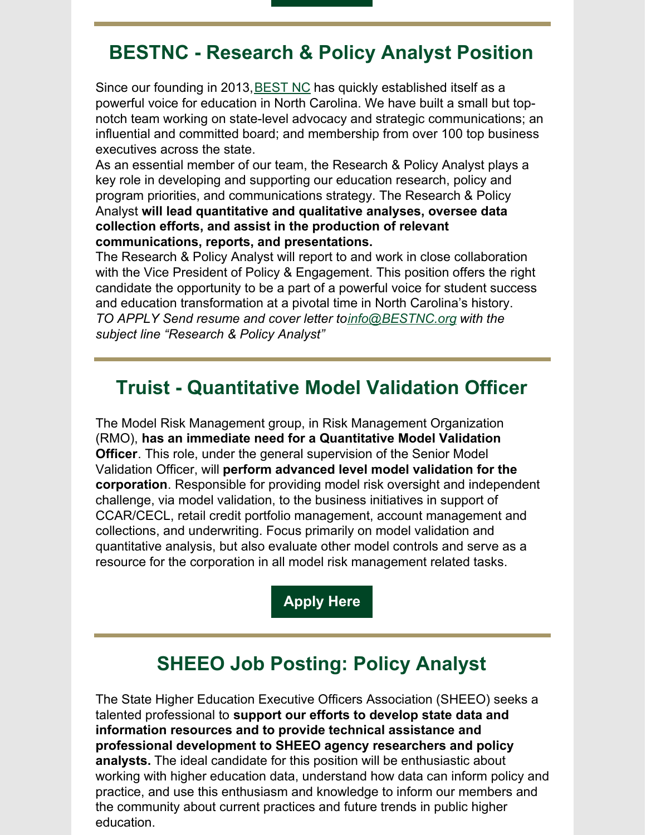## **BESTNC - Research & Policy Analyst Position**

Since our founding in 2013, [BEST](http://www.bestnc.org/) NC has quickly established itself as a powerful voice for education in North Carolina. We have built a small but topnotch team working on state-level advocacy and strategic communications; an influential and committed board; and membership from over 100 top business executives across the state.

As an essential member of our team, the Research & Policy Analyst plays a key role in developing and supporting our education research, policy and program priorities, and communications strategy. The Research & Policy Analyst **will lead quantitative and qualitative analyses, oversee data collection efforts, and assist in the production of relevant communications, reports, and presentations.**

The Research & Policy Analyst will report to and work in close collaboration with the Vice President of Policy & Engagement. This position offers the right candidate the opportunity to be a part of a powerful voice for student success and education transformation at a pivotal time in North Carolina's history. *TO APPLY Send resume and cover letter to[info@BESTNC.org](mailto:info@BESTNC.org) with the subject line "Research & Policy Analyst"*

#### **Truist - Quantitative Model Validation Officer**

The Model Risk Management group, in Risk Management Organization (RMO), **has an immediate need for a Quantitative Model Validation Officer**. This role, under the general supervision of the Senior Model Validation Officer, will **perform advanced level model validation for the corporation**. Responsible for providing model risk oversight and independent challenge, via model validation, to the business initiatives in support of CCAR/CECL, retail credit portfolio management, account management and collections, and underwriting. Focus primarily on model validation and quantitative analysis, but also evaluate other model controls and serve as a resource for the corporation in all model risk management related tasks.

**[Apply](https://bbt.wd1.myworkdayjobs.com/Careers/job/Atlanta-GA/Quantitative-Model-Validation-Officer_R0043928) Here**

#### **SHEEO Job Posting: Policy Analyst**

The State Higher Education Executive Officers Association (SHEEO) seeks a talented professional to **support our efforts to develop state data and information resources and to provide technical assistance and professional development to SHEEO agency researchers and policy analysts.** The ideal candidate for this position will be enthusiastic about working with higher education data, understand how data can inform policy and practice, and use this enthusiasm and knowledge to inform our members and the community about current practices and future trends in public higher education.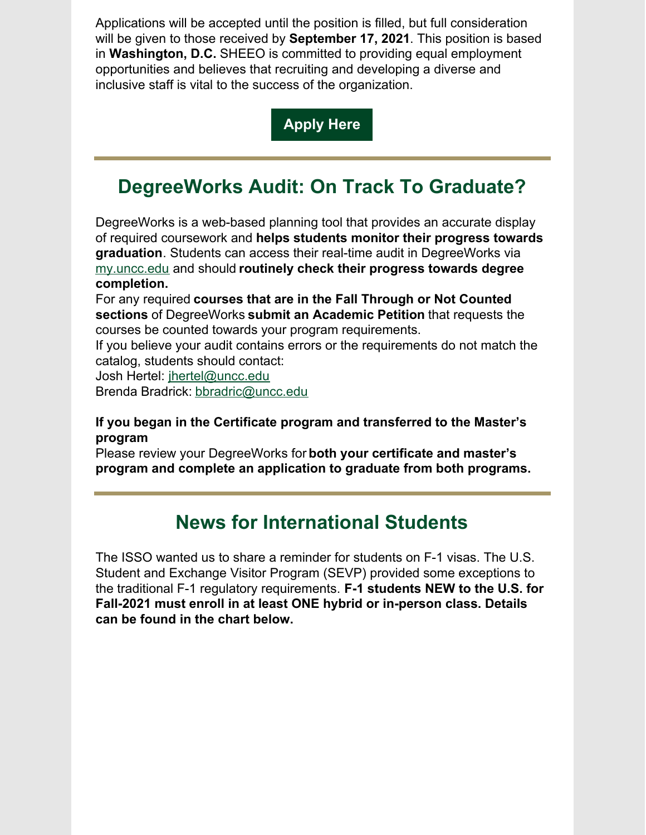Applications will be accepted until the position is filled, but full consideration will be given to those received by **September 17, 2021**. This position is based in **Washington, D.C.** SHEEO is committed to providing equal employment opportunities and believes that recruiting and developing a diverse and inclusive staff is vital to the success of the organization.

#### **[Apply](https://sheeo.org/sheeo-job-posting-policy-analyst-3/) Here**

## **DegreeWorks Audit: On Track To Graduate?**

DegreeWorks is a web-based planning tool that provides an accurate display of required coursework and **helps students monitor their progress towards graduation**. Students can access their real-time audit in DegreeWorks via [my.uncc.edu](http://my.uncc.edu/) and should **routinely check their progress towards degree completion.**

For any required **courses that are in the Fall Through or Not Counted sections** of DegreeWorks **submit an Academic Petition** that requests the courses be counted towards your program requirements.

If you believe your audit contains errors or the requirements do not match the catalog, students should contact:

Josh Hertel: [jhertel@uncc.edu](mailto:jhertel@uncc.edu)

Brenda Bradrick: [bbradric@uncc.edu](mailto:bbradric@uncc.edu)

#### **If you began in the Certificate program and transferred to the Master's program**

Please review your DegreeWorks for **both your certificate and master's program and complete an application to graduate from both programs.**

#### **News for International Students**

The ISSO wanted us to share a reminder for students on F-1 visas. The U.S. Student and Exchange Visitor Program (SEVP) provided some exceptions to the traditional F-1 regulatory requirements. **F-1 students NEW to the U.S. for Fall-2021 must enroll in at least ONE hybrid or in-person class. Details can be found in the chart below.**